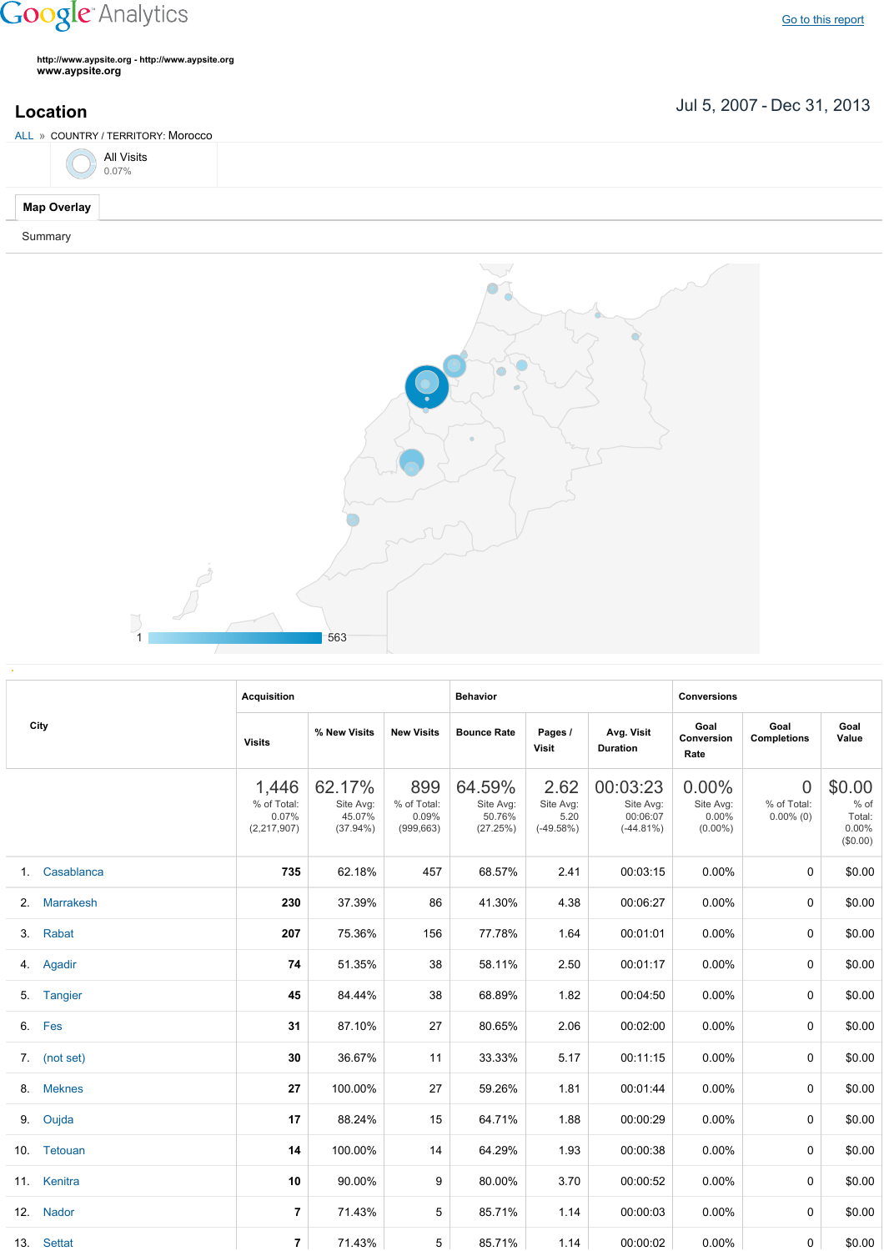## **Google** Analytics

**http://www.aypsite.org http://www.aypsite.org www.aypsite.org**

**Location** Jul 5, 2007 - Dec 31, 2013

| ALL » COUNTRY / TERRITORY: Morocco |            |  |  |  |  |  |  |
|------------------------------------|------------|--|--|--|--|--|--|
|                                    | All Visits |  |  |  |  |  |  |
| Map Overlay                        |            |  |  |  |  |  |  |
| Summary                            |            |  |  |  |  |  |  |



|    |                  | <b>Acquisition</b>                           |                                              |                                           | <b>Behavior</b>                           |                                          |                                                  | <b>Conversions</b>                        |                                               |                                                    |
|----|------------------|----------------------------------------------|----------------------------------------------|-------------------------------------------|-------------------------------------------|------------------------------------------|--------------------------------------------------|-------------------------------------------|-----------------------------------------------|----------------------------------------------------|
|    | City             | <b>Visits</b>                                | % New Visits                                 | <b>New Visits</b>                         | <b>Bounce Rate</b>                        | Pages /<br>Visit                         | Avg. Visit<br><b>Duration</b>                    | Goal<br>Conversion<br>Rate                | Goal<br><b>Completions</b>                    | Goal<br>Value                                      |
|    |                  | 1,446<br>% of Total:<br>0.07%<br>(2,217,907) | 62.17%<br>Site Avg:<br>45.07%<br>$(37.94\%)$ | 899<br>% of Total:<br>0.09%<br>(999, 663) | 64.59%<br>Site Avg:<br>50.76%<br>(27.25%) | 2.62<br>Site Avg:<br>5.20<br>$(-49.58%)$ | 00:03:23<br>Site Avg:<br>00:06:07<br>$(-44.81%)$ | 0.00%<br>Site Avg:<br>0.00%<br>$(0.00\%)$ | $\overline{0}$<br>% of Total:<br>$0.00\%$ (0) | \$0.00<br>$%$ of<br>Total:<br>$0.00\%$<br>(\$0.00) |
| 1. | Casablanca       | 735                                          | 62.18%                                       | 457                                       | 68.57%                                    | 2.41                                     | 00:03:15                                         | 0.00%                                     | 0                                             | \$0.00                                             |
| 2. | <b>Marrakesh</b> | 230                                          | 37.39%                                       | 86                                        | 41.30%                                    | 4.38                                     | 00:06:27                                         | 0.00%                                     | 0                                             | \$0.00                                             |
| 3. | Rabat            | 207                                          | 75.36%                                       | 156                                       | 77.78%                                    | 1.64                                     | 00:01:01                                         | $0.00\%$                                  | 0                                             | \$0.00                                             |
|    | 4. Agadir        | 74                                           | 51.35%                                       | 38                                        | 58.11%                                    | 2.50                                     | 00:01:17                                         | $0.00\%$                                  | 0                                             | \$0.00                                             |
|    | 5. Tangier       | 45                                           | 84.44%                                       | 38                                        | 68.89%                                    | 1.82                                     | 00:04:50                                         | 0.00%                                     | 0                                             | \$0.00                                             |
|    | 6. Fes           | 31                                           | 87.10%                                       | 27                                        | 80.65%                                    | 2.06                                     | 00:02:00                                         | 0.00%                                     | 0                                             | \$0.00                                             |
|    | 7. (not set)     | 30                                           | 36.67%                                       | 11                                        | 33.33%                                    | 5.17                                     | 00:11:15                                         | $0.00\%$                                  | 0                                             | \$0.00                                             |
| 8. | <b>Meknes</b>    | 27                                           | 100.00%                                      | 27                                        | 59.26%                                    | 1.81                                     | 00:01:44                                         | $0.00\%$                                  | 0                                             | \$0.00                                             |
|    | 9. Oujda         | 17                                           | 88.24%                                       | 15                                        | 64.71%                                    | 1.88                                     | 00:00:29                                         | 0.00%                                     | 0                                             | \$0.00                                             |
|    | 10. Tetouan      | 14                                           | 100.00%                                      | 14                                        | 64.29%                                    | 1.93                                     | 00:00:38                                         | 0.00%                                     | 0                                             | \$0.00                                             |
|    | 11. Kenitra      | 10                                           | 90.00%                                       | 9                                         | 80.00%                                    | 3.70                                     | 00:00:52                                         | $0.00\%$                                  | 0                                             | \$0.00                                             |
|    | 12. Nador        | 7                                            | 71.43%                                       | 5                                         | 85.71%                                    | 1.14                                     | 00:00:03                                         | $0.00\%$                                  | 0                                             | \$0.00                                             |
|    | 13. Settat       | $\overline{7}$                               | 71.43%                                       | 5                                         | 85.71%                                    | 1.14                                     | 00:00:02                                         | $0.00\%$                                  | 0                                             | \$0.00                                             |